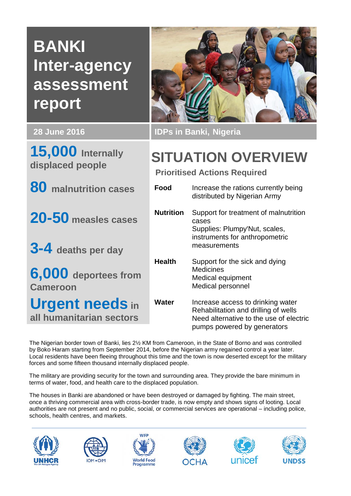# **BANKI Inter-agency assessment report**

**15,000 Internally displaced people**



**20-50 measles cases**

**3-4 deaths per day**

**6,000 deportees from Cameroon**

**Urgent needs in all humanitarian sectors**



**28 June 2016 IDPs in Banki, Nigeria**

# **SITUATION OVERVIEW**

**Prioritised Actions Required**

| Food      | Increase the rations currently being<br>distributed by Nigerian Army                                                                                |
|-----------|-----------------------------------------------------------------------------------------------------------------------------------------------------|
| Nutrition | Support for treatment of malnutrition<br>cases<br>Supplies: Plumpy'Nut, scales,<br>instruments for anthropometric<br>measurements                   |
| Health    | Support for the sick and dying<br>Medicines<br>Medical equipment<br>Medical personnel                                                               |
| Water     | Increase access to drinking water<br>Rehabilitation and drilling of wells<br>Need alternative to the use of electric<br>pumps powered by generators |

The Nigerian border town of Banki, lies 2½ KM from Cameroon, in the State of Borno and was controlled by Boko Haram starting from September 2014, before the Nigerian army regained control a year later. Local residents have been fleeing throughout this time and the town is now deserted except for the military forces and some fifteen thousand internally displaced people.

The military are providing security for the town and surrounding area. They provide the bare minimum in terms of water, food, and health care to the displaced population.

The houses in Banki are abandoned or have been destroyed or damaged by fighting. The main street, once a thriving commercial area with cross-border trade, is now empty and shows signs of looting. Local authorities are not present and no public, social, or commercial services are operational – including police, schools, health centres, and markets.











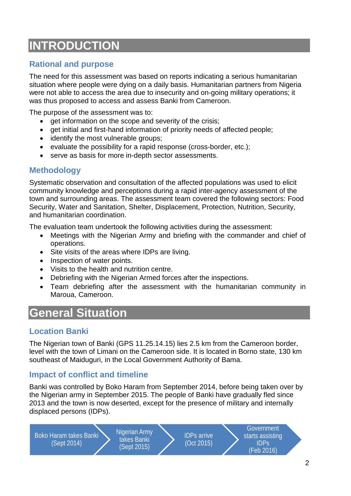# **INTRODUCTION**

# **Rational and purpose**

The need for this assessment was based on reports indicating a serious humanitarian situation where people were dying on a daily basis. Humanitarian partners from Nigeria were not able to access the area due to insecurity and on-going military operations; it was thus proposed to access and assess Banki from Cameroon.

The purpose of the assessment was to:

- get information on the scope and severity of the crisis;
- get initial and first-hand information of priority needs of affected people:
- identify the most vulnerable groups;
- evaluate the possibility for a rapid response (cross-border, etc.);
- serve as basis for more in-depth sector assessments.

## **Methodology**

Systematic observation and consultation of the affected populations was used to elicit community knowledge and perceptions during a rapid inter-agency assessment of the town and surrounding areas. The assessment team covered the following sectors: Food Security, Water and Sanitation, Shelter, Displacement, Protection, Nutrition, Security, and humanitarian coordination.

The evaluation team undertook the following activities during the assessment:

- Meetings with the Nigerian Army and briefing with the commander and chief of operations.
- Site visits of the areas where IDPs are living.
- Inspection of water points.
- Visits to the health and nutrition centre.
- Debriefing with the Nigerian Armed forces after the inspections.
- Team debriefing after the assessment with the humanitarian community in Maroua, Cameroon.

# **General Situation**

# **Location Banki**

The Nigerian town of Banki (GPS 11.25.14.15) lies 2.5 km from the Cameroon border, level with the town of Limani on the Cameroon side. It is located in Borno state, 130 km southeast of Maiduguri, in the Local Government Authority of Bama.

# **Impact of conflict and timeline**

Banki was controlled by Boko Haram from September 2014, before being taken over by the Nigerian army in September 2015. The people of Banki have gradually fled since 2013 and the town is now deserted, except for the presence of military and internally displaced persons (IDPs).

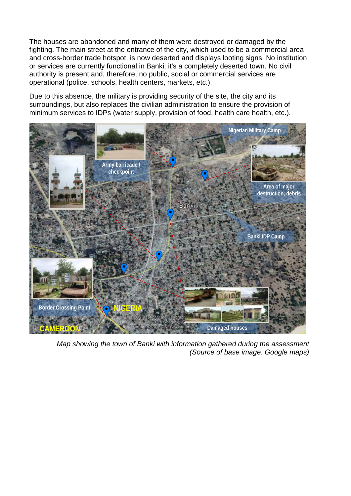The houses are abandoned and many of them were destroyed or damaged by the fighting. The main street at the entrance of the city, which used to be a commercial area and cross-border trade hotspot, is now deserted and displays looting signs. No institution or services are currently functional in Banki; it's a completely deserted town. No civil authority is present and, therefore, no public, social or commercial services are operational (police, schools, health centers, markets, etc.).

Due to this absence, the military is providing security of the site, the city and its surroundings, but also replaces the civilian administration to ensure the provision of minimum services to IDPs (water supply, provision of food, health care health, etc.).



*Map showing the town of Banki with information gathered during the assessment (Source of base image: Google maps)*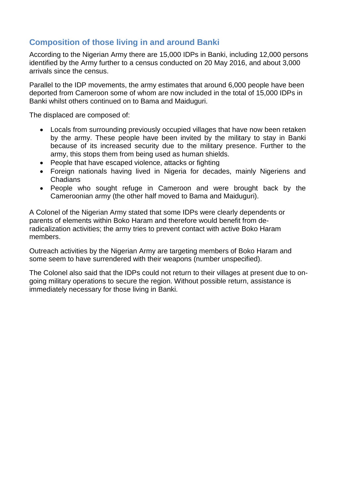# **Composition of those living in and around Banki**

According to the Nigerian Army there are 15,000 IDPs in Banki, including 12,000 persons identified by the Army further to a census conducted on 20 May 2016, and about 3,000 arrivals since the census.

Parallel to the IDP movements, the army estimates that around 6,000 people have been deported from Cameroon some of whom are now included in the total of 15,000 IDPs in Banki whilst others continued on to Bama and Maiduguri.

The displaced are composed of:

- Locals from surrounding previously occupied villages that have now been retaken by the army. These people have been invited by the military to stay in Banki because of its increased security due to the military presence. Further to the army, this stops them from being used as human shields.
- People that have escaped violence, attacks or fighting
- Foreign nationals having lived in Nigeria for decades, mainly Nigeriens and Chadians
- People who sought refuge in Cameroon and were brought back by the Cameroonian army (the other half moved to Bama and Maiduguri).

A Colonel of the Nigerian Army stated that some IDPs were clearly dependents or parents of elements within Boko Haram and therefore would benefit from deradicalization activities; the army tries to prevent contact with active Boko Haram members.

Outreach activities by the Nigerian Army are targeting members of Boko Haram and some seem to have surrendered with their weapons (number unspecified).

The Colonel also said that the IDPs could not return to their villages at present due to ongoing military operations to secure the region. Without possible return, assistance is immediately necessary for those living in Banki.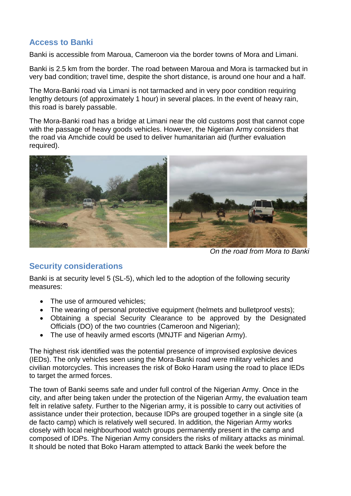# **Access to Banki**

Banki is accessible from Maroua, Cameroon via the border towns of Mora and Limani.

Banki is 2.5 km from the border. The road between Maroua and Mora is tarmacked but in very bad condition; travel time, despite the short distance, is around one hour and a half.

The Mora-Banki road via Limani is not tarmacked and in very poor condition requiring lengthy detours (of approximately 1 hour) in several places. In the event of heavy rain, this road is barely passable.

The Mora-Banki road has a bridge at Limani near the old customs post that cannot cope with the passage of heavy goods vehicles. However, the Nigerian Army considers that the road via Amchide could be used to deliver humanitarian aid (further evaluation required).



*On the road from Mora to Banki*

# **Security considerations**

Banki is at security level 5 (SL-5), which led to the adoption of the following security measures:

- The use of armoured vehicles:
- The wearing of personal protective equipment (helmets and bulletproof vests);
- Obtaining a special Security Clearance to be approved by the Designated Officials (DO) of the two countries (Cameroon and Nigerian);
- The use of heavily armed escorts (MNJTF and Nigerian Army).

The highest risk identified was the potential presence of improvised explosive devices (IEDs). The only vehicles seen using the Mora-Banki road were military vehicles and civilian motorcycles. This increases the risk of Boko Haram using the road to place IEDs to target the armed forces.

The town of Banki seems safe and under full control of the Nigerian Army. Once in the city, and after being taken under the protection of the Nigerian Army, the evaluation team felt in relative safety. Further to the Nigerian army, it is possible to carry out activities of assistance under their protection, because IDPs are grouped together in a single site (a de facto camp) which is relatively well secured. In addition, the Nigerian Army works closely with local neighbourhood watch groups permanently present in the camp and composed of IDPs. The Nigerian Army considers the risks of military attacks as minimal. It should be noted that Boko Haram attempted to attack Banki the week before the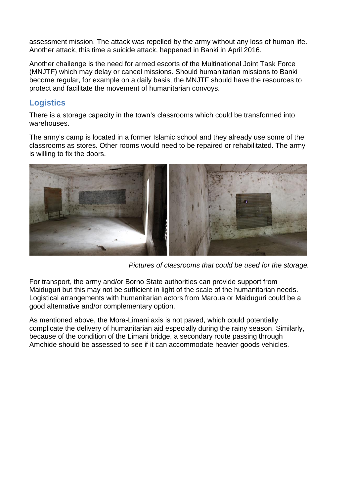assessment mission. The attack was repelled by the army without any loss of human life. Another attack, this time a suicide attack, happened in Banki in April 2016.

Another challenge is the need for armed escorts of the Multinational Joint Task Force (MNJTF) which may delay or cancel missions. Should humanitarian missions to Banki become regular, for example on a daily basis, the MNJTF should have the resources to protect and facilitate the movement of humanitarian convoys.

### **Logistics**

There is a storage capacity in the town's classrooms which could be transformed into warehouses.

The army's camp is located in a former Islamic school and they already use some of the classrooms as stores. Other rooms would need to be repaired or rehabilitated. The army is willing to fix the doors.



*Pictures of classrooms that could be used for the storage.*

For transport, the army and/or Borno State authorities can provide support from Maiduguri but this may not be sufficient in light of the scale of the humanitarian needs. Logistical arrangements with humanitarian actors from Maroua or Maiduguri could be a good alternative and/or complementary option.

As mentioned above, the Mora-Limani axis is not paved, which could potentially complicate the delivery of humanitarian aid especially during the rainy season. Similarly, because of the condition of the Limani bridge, a secondary route passing through Amchide should be assessed to see if it can accommodate heavier goods vehicles.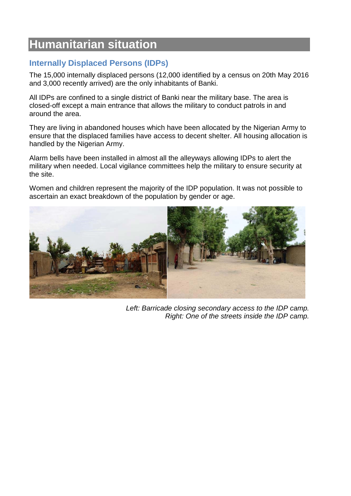# **Humanitarian situation**

# **Internally Displaced Persons (IDPs)**

The 15,000 internally displaced persons (12,000 identified by a census on 20th May 2016 and 3,000 recently arrived) are the only inhabitants of Banki.

All IDPs are confined to a single district of Banki near the military base. The area is closed-off except a main entrance that allows the military to conduct patrols in and around the area.

They are living in abandoned houses which have been allocated by the Nigerian Army to ensure that the displaced families have access to decent shelter. All housing allocation is handled by the Nigerian Army.

Alarm bells have been installed in almost all the alleyways allowing IDPs to alert the military when needed. Local vigilance committees help the military to ensure security at the site.

Women and children represent the majority of the IDP population. It was not possible to ascertain an exact breakdown of the population by gender or age.



*Left: Barricade closing secondary access to the IDP camp. Right: One of the streets inside the IDP camp.*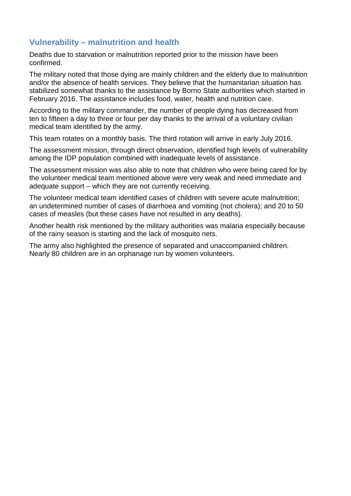## **Vulnerability – malnutrition and health**

Deaths due to starvation or malnutrition reported prior to the mission have been confirmed.

The military noted that those dying are mainly children and the elderly due to malnutrition and/or the absence of health services. They believe that the humanitarian situation has stabilized somewhat thanks to the assistance by Borno State authorities which started in February 2016. The assistance includes food, water, health and nutrition care.

According to the military commander, the number of people dying has decreased from ten to fifteen a day to three or four per day thanks to the arrival of a voluntary civilian medical team identified by the army.

This team rotates on a monthly basis. The third rotation will arrive in early July 2016.

The assessment mission, through direct observation, identified high levels of vulnerability among the IDP population combined with inadequate levels of assistance.

The assessment mission was also able to note that children who were being cared for by the volunteer medical team mentioned above were very weak and need immediate and adequate support – which they are not currently receiving.

The volunteer medical team identified cases of children with severe acute malnutrition; an undetermined number of cases of diarrhoea and vomiting (not cholera); and 20 to 50 cases of measles (but these cases have not resulted in any deaths).

Another health risk mentioned by the military authorities was malaria especially because of the rainy season is starting and the lack of mosquito nets.

The army also highlighted the presence of separated and unaccompanied children. Nearly 80 children are in an orphanage run by women volunteers.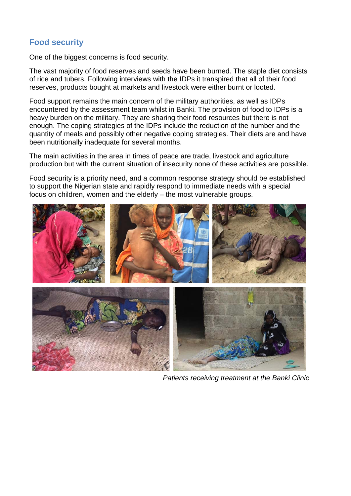# **Food security**

One of the biggest concerns is food security.

The vast majority of food reserves and seeds have been burned. The staple diet consists of rice and tubers. Following interviews with the IDPs it transpired that all of their food reserves, products bought at markets and livestock were either burnt or looted.

Food support remains the main concern of the military authorities, as well as IDPs encountered by the assessment team whilst in Banki. The provision of food to IDPs is a heavy burden on the military. They are sharing their food resources but there is not enough. The coping strategies of the IDPs include the reduction of the number and the quantity of meals and possibly other negative coping strategies. Their diets are and have been nutritionally inadequate for several months.

The main activities in the area in times of peace are trade, livestock and agriculture production but with the current situation of insecurity none of these activities are possible.

Food security is a priority need, and a common response strategy should be established to support the Nigerian state and rapidly respond to immediate needs with a special focus on children, women and the elderly – the most vulnerable groups.



*Patients receiving treatment at the Banki Clinic*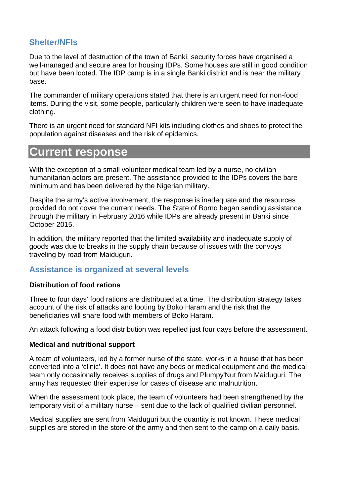# **Shelter/NFIs**

Due to the level of destruction of the town of Banki, security forces have organised a well-managed and secure area for housing IDPs. Some houses are still in good condition but have been looted. The IDP camp is in a single Banki district and is near the military base.

The commander of military operations stated that there is an urgent need for non-food items. During the visit, some people, particularly children were seen to have inadequate clothing.

There is an urgent need for standard NFI kits including clothes and shoes to protect the population against diseases and the risk of epidemics.

# **Current response**

With the exception of a small volunteer medical team led by a nurse, no civilian humanitarian actors are present. The assistance provided to the IDPs covers the bare minimum and has been delivered by the Nigerian military.

Despite the army's active involvement, the response is inadequate and the resources provided do not cover the current needs. The State of Borno began sending assistance through the military in February 2016 while IDPs are already present in Banki since October 2015.

In addition, the military reported that the limited availability and inadequate supply of goods was due to breaks in the supply chain because of issues with the convoys traveling by road from Maiduguri.

### **Assistance is organized at several levels**

#### **Distribution of food rations**

Three to four days' food rations are distributed at a time. The distribution strategy takes account of the risk of attacks and looting by Boko Haram and the risk that the beneficiaries will share food with members of Boko Haram.

An attack following a food distribution was repelled just four days before the assessment.

#### **Medical and nutritional support**

A team of volunteers, led by a former nurse of the state, works in a house that has been converted into a 'clinic'. It does not have any beds or medical equipment and the medical team only occasionally receives supplies of drugs and Plumpy'Nut from Maiduguri. The army has requested their expertise for cases of disease and malnutrition.

When the assessment took place, the team of volunteers had been strengthened by the temporary visit of a military nurse – sent due to the lack of qualified civilian personnel.

Medical supplies are sent from Maiduguri but the quantity is not known. These medical supplies are stored in the store of the army and then sent to the camp on a daily basis.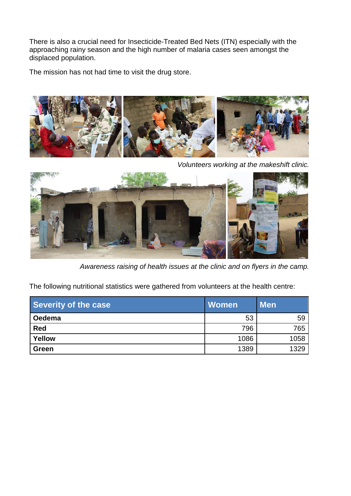There is also a crucial need for Insecticide-Treated Bed Nets (ITN) especially with the approaching rainy season and the high number of malaria cases seen amongst the displaced population.

The mission has not had time to visit the drug store.



*Volunteers working at the makeshift clinic.*



*Awareness raising of health issues at the clinic and on flyers in the camp.*

The following nutritional statistics were gathered from volunteers at the health centre:

| Severity of the case | <b>Women</b> | <b>Men</b> |
|----------------------|--------------|------------|
| Oedema               | 53           | 59         |
| <b>Red</b>           | 796          | 765        |
| Yellow               | 1086         | 1058       |
| <b>Green</b>         | 1389         | 1329       |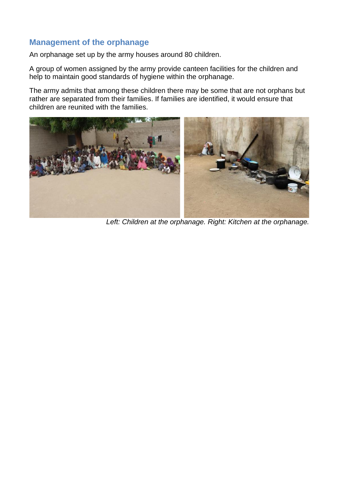## **Management of the orphanage**

An orphanage set up by the army houses around 80 children.

A group of women assigned by the army provide canteen facilities for the children and help to maintain good standards of hygiene within the orphanage.

The army admits that among these children there may be some that are not orphans but rather are separated from their families. If families are identified, it would ensure that children are reunited with the families.



*Left: Children at the orphanage. Right: Kitchen at the orphanage.*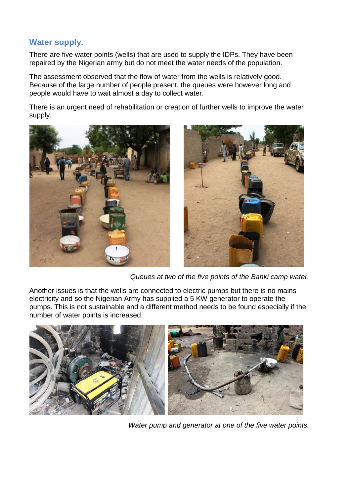## **Water supply.**

There are five water points (wells) that are used to supply the IDPs. They have been repaired by the Nigerian army but do not meet the water needs of the population.

The assessment observed that the flow of water from the wells is relatively good. Because of the large number of people present, the queues were however long and people would have to wait almost a day to collect water.

There is an urgent need of rehabilitation or creation of further wells to improve the water supply.



*Queues at two of the five points of the Banki camp water.*

Another issues is that the wells are connected to electric pumps but there is no mains electricity and so the Nigerian Army has supplied a 5 KW generator to operate the pumps. This is not sustainable and a different method needs to be found especially if the number of water points is increased.



*Water pump and generator at one of the five water points.*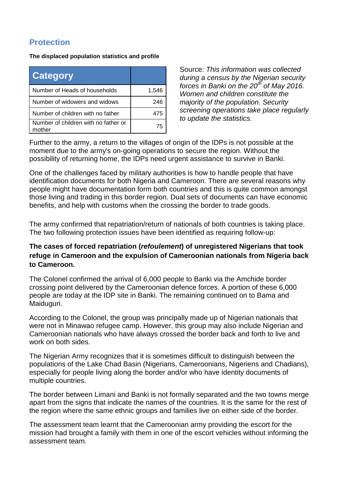# **Protection**

**The displaced population statistics and profile**

| <b>Category</b>                                |       |
|------------------------------------------------|-------|
| Number of Heads of households                  | 1,546 |
| Number of widowers and widows                  | 246   |
| Number of children with no father              | 475   |
| Number of children with no father or<br>mother | 75    |

Source: *This information was collected during a census by the Nigerian security forces in Banki on the 20th of May 2016. Women and children constitute the majority of the population. Security screening operations take place regularly to update the statistics.* 

Further to the army, a return to the villages of origin of the IDPs is not possible at the moment due to the army's on-going operations to secure the region. Without the possibility of returning home, the IDPs need urgent assistance to survive in Banki.

One of the challenges faced by military authorities is how to handle people that have identification documents for both Nigeria and Cameroon. There are several reasons why people might have documentation form both countries and this is quite common amongst those living and trading in this border region. Dual sets of documents can have economic benefits, and help with customs when the crossing the border to trade goods.

The army confirmed that repatriation/return of nationals of both countries is taking place. The two following protection issues have been identified as requiring follow-up:

#### **The cases of forced repatriation (***refoulement***) of unregistered Nigerians that took refuge in Cameroon and the expulsion of Cameroonian nationals from Nigeria back to Cameroon.**

The Colonel confirmed the arrival of 6,000 people to Banki via the Amchide border crossing point delivered by the Cameroonian defence forces. A portion of these 6,000 people are today at the IDP site in Banki. The remaining continued on to Bama and Maiduguri.

According to the Colonel, the group was principally made up of Nigerian nationals that were not in Minawao refugee camp. However, this group may also include Nigerian and Cameroonian nationals who have always crossed the border back and forth to live and work on both sides.

The Nigerian Army recognizes that it is sometimes difficult to distinguish between the populations of the Lake Chad Basin (Nigerians, Cameroonians, Nigeriens and Chadians), especially for people living along the border and/or who have identity documents of multiple countries.

The border between Limani and Banki is not formally separated and the two towns merge apart from the signs that indicate the names of the countries. It is the same for the rest of the region where the same ethnic groups and families live on either side of the border.

The assessment team learnt that the Cameroonian army providing the escort for the mission had brought a family with them in one of the escort vehicles without informing the assessment team.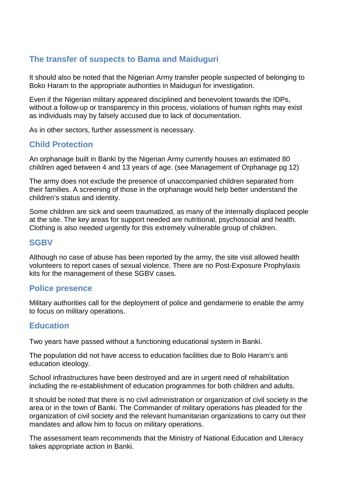# **The transfer of suspects to Bama and Maiduguri**

It should also be noted that the Nigerian Army transfer people suspected of belonging to Boko Haram to the appropriate authorities in Maiduguri for investigation.

Even if the Nigerian military appeared disciplined and benevolent towards the IDPs, without a follow-up or transparency in this process, violations of human rights may exist as individuals may by falsely accused due to lack of documentation.

As in other sectors, further assessment is necessary.

## **Child Protection**

An orphanage built in Banki by the Nigerian Army currently houses an estimated 80 children aged between 4 and 13 years of age. (see Management of Orphanage pg 12)

The army does not exclude the presence of unaccompanied children separated from their families. A screening of those in the orphanage would help better understand the children's status and identity.

Some children are sick and seem traumatized, as many of the internally displaced people at the site. The key areas for support needed are nutritional, psychosocial and health. Clothing is also needed urgently for this extremely vulnerable group of children.

#### **SGBV**

Although no case of abuse has been reported by the army, the site visit allowed health volunteers to report cases of sexual violence. There are no Post-Exposure Prophylaxis kits for the management of these SGBV cases.

#### **Police presence**

Military authorities call for the deployment of police and gendarmerie to enable the army to focus on military operations.

### **Education**

Two years have passed without a functioning educational system in Banki.

The population did not have access to education facilities due to Bolo Haram's anti education ideology.

School infrastructures have been destroyed and are in urgent need of rehabilitation including the re-establishment of education programmes for both children and adults.

It should be noted that there is no civil administration or organization of civil society in the area or in the town of Banki. The Commander of military operations has pleaded for the organization of civil society and the relevant humanitarian organizations to carry out their mandates and allow him to focus on military operations.

The assessment team recommends that the Ministry of National Education and Literacy takes appropriate action in Banki.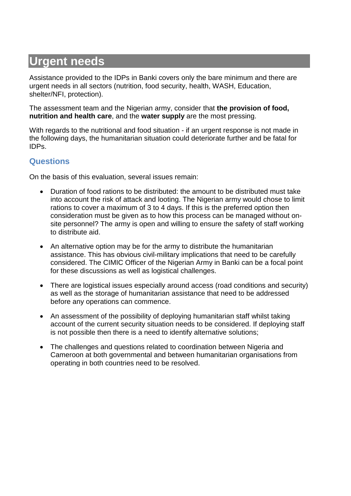# **Urgent needs**

Assistance provided to the IDPs in Banki covers only the bare minimum and there are urgent needs in all sectors (nutrition, food security, health, WASH, Education, shelter/NFI, protection).

The assessment team and the Nigerian army, consider that **the provision of food, nutrition and health care**, and the **water supply** are the most pressing.

With regards to the nutritional and food situation - if an urgent response is not made in the following days, the humanitarian situation could deteriorate further and be fatal for IDPs.

## **Questions**

On the basis of this evaluation, several issues remain:

- Duration of food rations to be distributed: the amount to be distributed must take into account the risk of attack and looting. The Nigerian army would chose to limit rations to cover a maximum of 3 to 4 days. If this is the preferred option then consideration must be given as to how this process can be managed without onsite personnel? The army is open and willing to ensure the safety of staff working to distribute aid.
- An alternative option may be for the army to distribute the humanitarian assistance. This has obvious civil-military implications that need to be carefully considered. The CIMIC Officer of the Nigerian Army in Banki can be a focal point for these discussions as well as logistical challenges.
- There are logistical issues especially around access (road conditions and security) as well as the storage of humanitarian assistance that need to be addressed before any operations can commence.
- An assessment of the possibility of deploying humanitarian staff whilst taking account of the current security situation needs to be considered. If deploying staff is not possible then there is a need to identify alternative solutions;
- The challenges and questions related to coordination between Nigeria and Cameroon at both governmental and between humanitarian organisations from operating in both countries need to be resolved.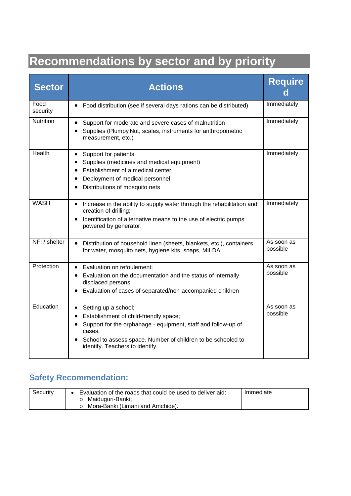# **Recommendations by sector and by priority**

| <b>Sector</b>    | <b>Actions</b>                                                                                                                                                                                                                                                                                   | <b>Require</b>         |
|------------------|--------------------------------------------------------------------------------------------------------------------------------------------------------------------------------------------------------------------------------------------------------------------------------------------------|------------------------|
| Food<br>security | Food distribution (see if several days rations can be distributed)<br>$\bullet$                                                                                                                                                                                                                  | Immediately            |
| <b>Nutrition</b> | • Support for moderate and severe cases of malnutrition<br>Supplies (Plumpy'Nut, scales, instruments for anthropometric<br>measurement, etc.)                                                                                                                                                    | Immediately            |
| Health           | Support for patients<br>$\bullet$<br>Supplies (medicines and medical equipment)<br>Establishment of a medical center<br>Deployment of medical personnel<br>$\bullet$<br>Distributions of mosquito nets                                                                                           | Immediately            |
| <b>WASH</b>      | Increase in the ability to supply water through the rehabilitation and<br>$\bullet$<br>creation of drilling;<br>• Identification of alternative means to the use of electric pumps<br>powered by generator.                                                                                      | Immediately            |
| NFI / shelter    | $\bullet$<br>Distribution of household linen (sheets, blankets, etc.), containers<br>for water, mosquito nets, hygiene kits, soaps, MILDA                                                                                                                                                        | As soon as<br>possible |
| Protection       | Evaluation on refoulement;<br>$\bullet$<br>Evaluation on the documentation and the status of internally<br>$\bullet$<br>displaced persons.<br>Evaluation of cases of separated/non-accompanied children                                                                                          | As soon as<br>possible |
| Education        | Setting up a school;<br>$\bullet$<br>Establishment of child-friendly space;<br>$\bullet$<br>Support for the orphanage - equipment, staff and follow-up of<br>$\bullet$<br>cases.<br>School to assess space. Number of children to be schooled to<br>$\bullet$<br>identify. Teachers to identify. | As soon as<br>possible |

# **Safety Recommendation:**

| Securitv | Evaluation of the roads that could be used to deliver aid: | Immediate |
|----------|------------------------------------------------------------|-----------|
|          | Maiduguri-Banki;                                           |           |
|          | Mora-Banki (Limani and Amchide).                           |           |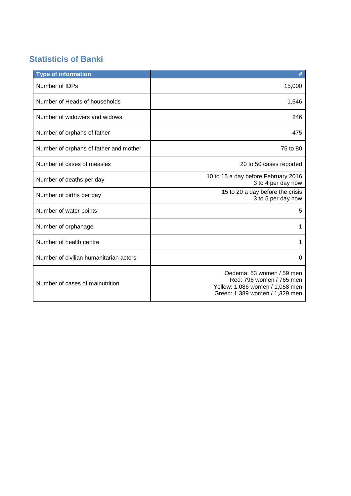# **Statisticis of Banki**

| <b>Type of information</b>             | #                                                                                                                          |
|----------------------------------------|----------------------------------------------------------------------------------------------------------------------------|
| Number of IDPs                         | 15,000                                                                                                                     |
| Number of Heads of households          | 1,546                                                                                                                      |
| Number of widowers and widows          | 246                                                                                                                        |
| Number of orphans of father            | 475                                                                                                                        |
| Number of orphans of father and mother | 75 to 80                                                                                                                   |
| Number of cases of measles             | 20 to 50 cases reported                                                                                                    |
| Number of deaths per day               | 10 to 15 a day before February 2016<br>3 to 4 per day now                                                                  |
| Number of births per day               | 15 to 20 a day before the crisis<br>3 to 5 per day now                                                                     |
| Number of water points                 | 5                                                                                                                          |
| Number of orphanage                    | 1                                                                                                                          |
| Number of health centre                | 1                                                                                                                          |
| Number of civilian humanitarian actors | 0                                                                                                                          |
| Number of cases of malnutrition        | Oedema: 53 women / 59 men<br>Red: 796 women / 765 men<br>Yellow: 1,086 women / 1,058 men<br>Green: 1.389 women / 1,329 men |